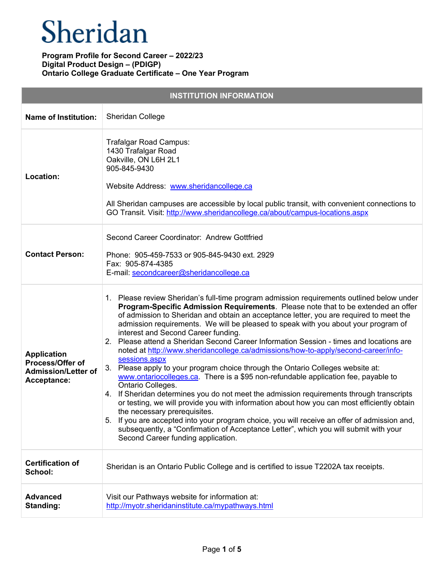| <b>INSTITUTION INFORMATION</b>                                                             |                                                                                                                                                                                                                                                                                                                                                                                                                                                                                                                                                                                                                                                                                                                                                                                                                                                                                                                                                                                                                                                                                                                                                                                                                                                               |  |
|--------------------------------------------------------------------------------------------|---------------------------------------------------------------------------------------------------------------------------------------------------------------------------------------------------------------------------------------------------------------------------------------------------------------------------------------------------------------------------------------------------------------------------------------------------------------------------------------------------------------------------------------------------------------------------------------------------------------------------------------------------------------------------------------------------------------------------------------------------------------------------------------------------------------------------------------------------------------------------------------------------------------------------------------------------------------------------------------------------------------------------------------------------------------------------------------------------------------------------------------------------------------------------------------------------------------------------------------------------------------|--|
| <b>Name of Institution:</b>                                                                | Sheridan College                                                                                                                                                                                                                                                                                                                                                                                                                                                                                                                                                                                                                                                                                                                                                                                                                                                                                                                                                                                                                                                                                                                                                                                                                                              |  |
| Location:                                                                                  | Trafalgar Road Campus:<br>1430 Trafalgar Road<br>Oakville, ON L6H 2L1<br>905-845-9430<br>Website Address: www.sheridancollege.ca<br>All Sheridan campuses are accessible by local public transit, with convenient connections to<br>GO Transit. Visit: http://www.sheridancollege.ca/about/campus-locations.aspx                                                                                                                                                                                                                                                                                                                                                                                                                                                                                                                                                                                                                                                                                                                                                                                                                                                                                                                                              |  |
| <b>Contact Person:</b>                                                                     | Second Career Coordinator: Andrew Gottfried<br>Phone: 905-459-7533 or 905-845-9430 ext. 2929<br>Fax: 905-874-4385<br>E-mail: secondcareer@sheridancollege.ca                                                                                                                                                                                                                                                                                                                                                                                                                                                                                                                                                                                                                                                                                                                                                                                                                                                                                                                                                                                                                                                                                                  |  |
| <b>Application</b><br><b>Process/Offer of</b><br><b>Admission/Letter of</b><br>Acceptance: | 1. Please review Sheridan's full-time program admission requirements outlined below under<br>Program-Specific Admission Requirements. Please note that to be extended an offer<br>of admission to Sheridan and obtain an acceptance letter, you are required to meet the<br>admission requirements. We will be pleased to speak with you about your program of<br>interest and Second Career funding.<br>2. Please attend a Sheridan Second Career Information Session - times and locations are<br>noted at http://www.sheridancollege.ca/admissions/how-to-apply/second-career/info-<br>sessions.aspx<br>3. Please apply to your program choice through the Ontario Colleges website at:<br>www.ontariocolleges.ca. There is a \$95 non-refundable application fee, payable to<br>Ontario Colleges.<br>4. If Sheridan determines you do not meet the admission requirements through transcripts<br>or testing, we will provide you with information about how you can most efficiently obtain<br>the necessary prerequisites.<br>5. If you are accepted into your program choice, you will receive an offer of admission and,<br>subsequently, a "Confirmation of Acceptance Letter", which you will submit with your<br>Second Career funding application. |  |
| <b>Certification of</b><br>School:                                                         | Sheridan is an Ontario Public College and is certified to issue T2202A tax receipts.                                                                                                                                                                                                                                                                                                                                                                                                                                                                                                                                                                                                                                                                                                                                                                                                                                                                                                                                                                                                                                                                                                                                                                          |  |
| <b>Advanced</b><br><b>Standing:</b>                                                        | Visit our Pathways website for information at:<br>http://myotr.sheridaninstitute.ca/mypathways.html                                                                                                                                                                                                                                                                                                                                                                                                                                                                                                                                                                                                                                                                                                                                                                                                                                                                                                                                                                                                                                                                                                                                                           |  |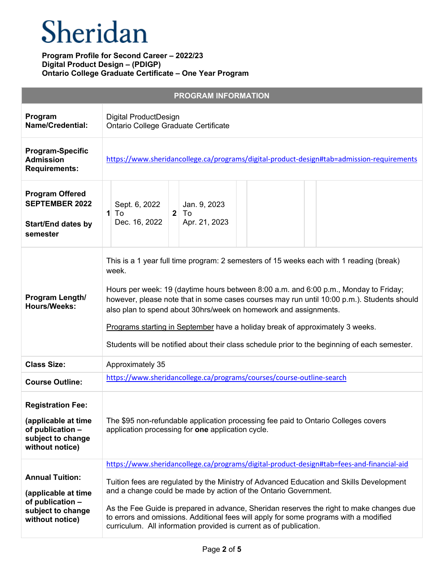# Sheridan

| <b>PROGRAM INFORMATION</b>                                                                                  |                                                                                                                                                                                                                                                                                                                                                                                                                                                                                                                                              |  |
|-------------------------------------------------------------------------------------------------------------|----------------------------------------------------------------------------------------------------------------------------------------------------------------------------------------------------------------------------------------------------------------------------------------------------------------------------------------------------------------------------------------------------------------------------------------------------------------------------------------------------------------------------------------------|--|
| Program<br><b>Name/Credential:</b>                                                                          | Digital ProductDesign<br>Ontario College Graduate Certificate                                                                                                                                                                                                                                                                                                                                                                                                                                                                                |  |
| <b>Program-Specific</b><br><b>Admission</b><br><b>Requirements:</b>                                         | https://www.sheridancollege.ca/programs/digital-product-design#tab=admission-requirements                                                                                                                                                                                                                                                                                                                                                                                                                                                    |  |
| <b>Program Offered</b><br><b>SEPTEMBER 2022</b><br><b>Start/End dates by</b><br>semester                    | Sept. 6, 2022<br>Jan. 9, 2023<br>To<br>$1$ To<br>2 <sup>1</sup><br>Apr. 21, 2023<br>Dec. 16, 2022                                                                                                                                                                                                                                                                                                                                                                                                                                            |  |
| Program Length/<br><b>Hours/Weeks:</b>                                                                      | This is a 1 year full time program: 2 semesters of 15 weeks each with 1 reading (break)<br>week.<br>Hours per week: 19 (daytime hours between 8:00 a.m. and 6:00 p.m., Monday to Friday;<br>however, please note that in some cases courses may run until 10:00 p.m.). Students should<br>also plan to spend about 30hrs/week on homework and assignments.<br>Programs starting in September have a holiday break of approximately 3 weeks.<br>Students will be notified about their class schedule prior to the beginning of each semester. |  |
| <b>Class Size:</b>                                                                                          | Approximately 35                                                                                                                                                                                                                                                                                                                                                                                                                                                                                                                             |  |
| <b>Course Outline:</b>                                                                                      | https://www.sheridancollege.ca/programs/courses/course-outline-search                                                                                                                                                                                                                                                                                                                                                                                                                                                                        |  |
| <b>Registration Fee:</b><br>(applicable at time<br>of publication -<br>subject to change<br>without notice) | The \$95 non-refundable application processing fee paid to Ontario Colleges covers<br>application processing for one application cycle.                                                                                                                                                                                                                                                                                                                                                                                                      |  |
| <b>Annual Tuition:</b><br>(applicable at time<br>of publication -<br>subject to change<br>without notice)   | https://www.sheridancollege.ca/programs/digital-product-design#tab=fees-and-financial-aid<br>Tuition fees are regulated by the Ministry of Advanced Education and Skills Development<br>and a change could be made by action of the Ontario Government.<br>As the Fee Guide is prepared in advance, Sheridan reserves the right to make changes due<br>to errors and omissions. Additional fees will apply for some programs with a modified<br>curriculum. All information provided is current as of publication.                           |  |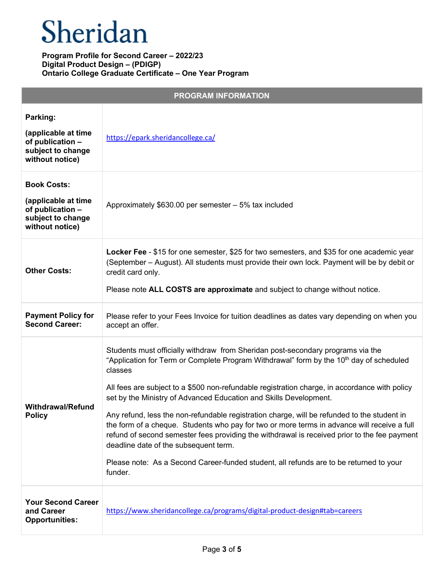| <b>PROGRAM INFORMATION</b>                                                                            |                                                                                                                                                                                                                                                                                                                                                                                                                                                                                                                                                                                                                                                                                                                                                                                                                     |
|-------------------------------------------------------------------------------------------------------|---------------------------------------------------------------------------------------------------------------------------------------------------------------------------------------------------------------------------------------------------------------------------------------------------------------------------------------------------------------------------------------------------------------------------------------------------------------------------------------------------------------------------------------------------------------------------------------------------------------------------------------------------------------------------------------------------------------------------------------------------------------------------------------------------------------------|
| Parking:<br>(applicable at time<br>of publication -<br>subject to change<br>without notice)           | https://epark.sheridancollege.ca/                                                                                                                                                                                                                                                                                                                                                                                                                                                                                                                                                                                                                                                                                                                                                                                   |
| <b>Book Costs:</b><br>(applicable at time<br>of publication -<br>subject to change<br>without notice) | Approximately $$630.00$ per semester $-5\%$ tax included                                                                                                                                                                                                                                                                                                                                                                                                                                                                                                                                                                                                                                                                                                                                                            |
| <b>Other Costs:</b>                                                                                   | Locker Fee - \$15 for one semester, \$25 for two semesters, and \$35 for one academic year<br>(September - August). All students must provide their own lock. Payment will be by debit or<br>credit card only.<br>Please note ALL COSTS are approximate and subject to change without notice.                                                                                                                                                                                                                                                                                                                                                                                                                                                                                                                       |
| <b>Payment Policy for</b><br><b>Second Career:</b>                                                    | Please refer to your Fees Invoice for tuition deadlines as dates vary depending on when you<br>accept an offer.                                                                                                                                                                                                                                                                                                                                                                                                                                                                                                                                                                                                                                                                                                     |
| <b>Withdrawal/Refund</b><br><b>Policy</b>                                                             | Students must officially withdraw from Sheridan post-secondary programs via the<br>"Application for Term or Complete Program Withdrawal" form by the 10 <sup>th</sup> day of scheduled<br>classes<br>All fees are subject to a \$500 non-refundable registration charge, in accordance with policy<br>set by the Ministry of Advanced Education and Skills Development.<br>Any refund, less the non-refundable registration charge, will be refunded to the student in<br>the form of a cheque. Students who pay for two or more terms in advance will receive a full<br>refund of second semester fees providing the withdrawal is received prior to the fee payment<br>deadline date of the subsequent term.<br>Please note: As a Second Career-funded student, all refunds are to be returned to your<br>funder. |
| <b>Your Second Career</b><br>and Career<br><b>Opportunities:</b>                                      | https://www.sheridancollege.ca/programs/digital-product-design#tab=careers                                                                                                                                                                                                                                                                                                                                                                                                                                                                                                                                                                                                                                                                                                                                          |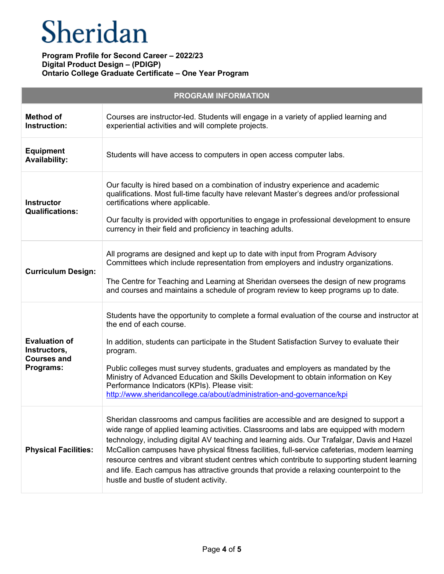| <b>PROGRAM INFORMATION</b>                                              |                                                                                                                                                                                                                                                                                                                                                                                                                                                                                                                                                                                                                         |  |
|-------------------------------------------------------------------------|-------------------------------------------------------------------------------------------------------------------------------------------------------------------------------------------------------------------------------------------------------------------------------------------------------------------------------------------------------------------------------------------------------------------------------------------------------------------------------------------------------------------------------------------------------------------------------------------------------------------------|--|
| <b>Method of</b><br>Instruction:                                        | Courses are instructor-led. Students will engage in a variety of applied learning and<br>experiential activities and will complete projects.                                                                                                                                                                                                                                                                                                                                                                                                                                                                            |  |
| <b>Equipment</b><br><b>Availability:</b>                                | Students will have access to computers in open access computer labs.                                                                                                                                                                                                                                                                                                                                                                                                                                                                                                                                                    |  |
| <b>Instructor</b><br><b>Qualifications:</b>                             | Our faculty is hired based on a combination of industry experience and academic<br>qualifications. Most full-time faculty have relevant Master's degrees and/or professional<br>certifications where applicable.<br>Our faculty is provided with opportunities to engage in professional development to ensure<br>currency in their field and proficiency in teaching adults.                                                                                                                                                                                                                                           |  |
| <b>Curriculum Design:</b>                                               | All programs are designed and kept up to date with input from Program Advisory<br>Committees which include representation from employers and industry organizations.<br>The Centre for Teaching and Learning at Sheridan oversees the design of new programs<br>and courses and maintains a schedule of program review to keep programs up to date.                                                                                                                                                                                                                                                                     |  |
| <b>Evaluation of</b><br>Instructors,<br><b>Courses and</b><br>Programs: | Students have the opportunity to complete a formal evaluation of the course and instructor at<br>the end of each course.<br>In addition, students can participate in the Student Satisfaction Survey to evaluate their<br>program.<br>Public colleges must survey students, graduates and employers as mandated by the<br>Ministry of Advanced Education and Skills Development to obtain information on Key<br>Performance Indicators (KPIs). Please visit:<br>http://www.sheridancollege.ca/about/administration-and-governance/kpi                                                                                   |  |
| <b>Physical Facilities:</b>                                             | Sheridan classrooms and campus facilities are accessible and are designed to support a<br>wide range of applied learning activities. Classrooms and labs are equipped with modern<br>technology, including digital AV teaching and learning aids. Our Trafalgar, Davis and Hazel<br>McCallion campuses have physical fitness facilities, full-service cafeterias, modern learning<br>resource centres and vibrant student centres which contribute to supporting student learning<br>and life. Each campus has attractive grounds that provide a relaxing counterpoint to the<br>hustle and bustle of student activity. |  |